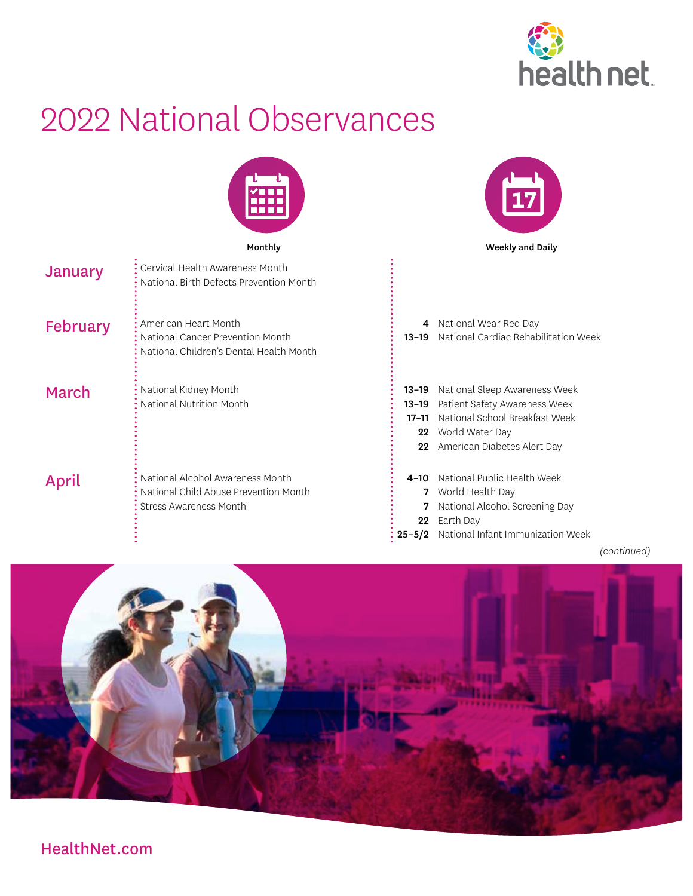

 $\frac{1}{17}$ 

## 2022 National Observances



Monthly **Monthly Monthly** Weekly and Daily

| January  | Cervical Health Awareness Month<br>National Birth Defects Prevention Month                                 |                                                 |                                                                                                                                                    |
|----------|------------------------------------------------------------------------------------------------------------|-------------------------------------------------|----------------------------------------------------------------------------------------------------------------------------------------------------|
| February | American Heart Month<br>National Cancer Prevention Month<br>National Children's Dental Health Month        | 4<br>$13 - 19$                                  | National Wear Red Day<br>National Cardiac Rehabilitation Week                                                                                      |
| March    | National Kidney Month<br>National Nutrition Month                                                          | $13 - 19$<br>$13 - 19$<br>$17 - 11$<br>22<br>22 | National Sleep Awareness Week<br>Patient Safety Awareness Week<br>National School Breakfast Week<br>World Water Day<br>American Diabetes Alert Day |
| April    | National Alcohol Awareness Month<br>National Child Abuse Prevention Month<br><b>Stress Awareness Month</b> | $4 - 10$<br>7<br>$22\,$<br>$25 - 5/2$           | National Public Health Week<br>World Health Day<br>National Alcohol Screening Day<br>Earth Day<br>National Infant Immunization Week                |

*(continued)*